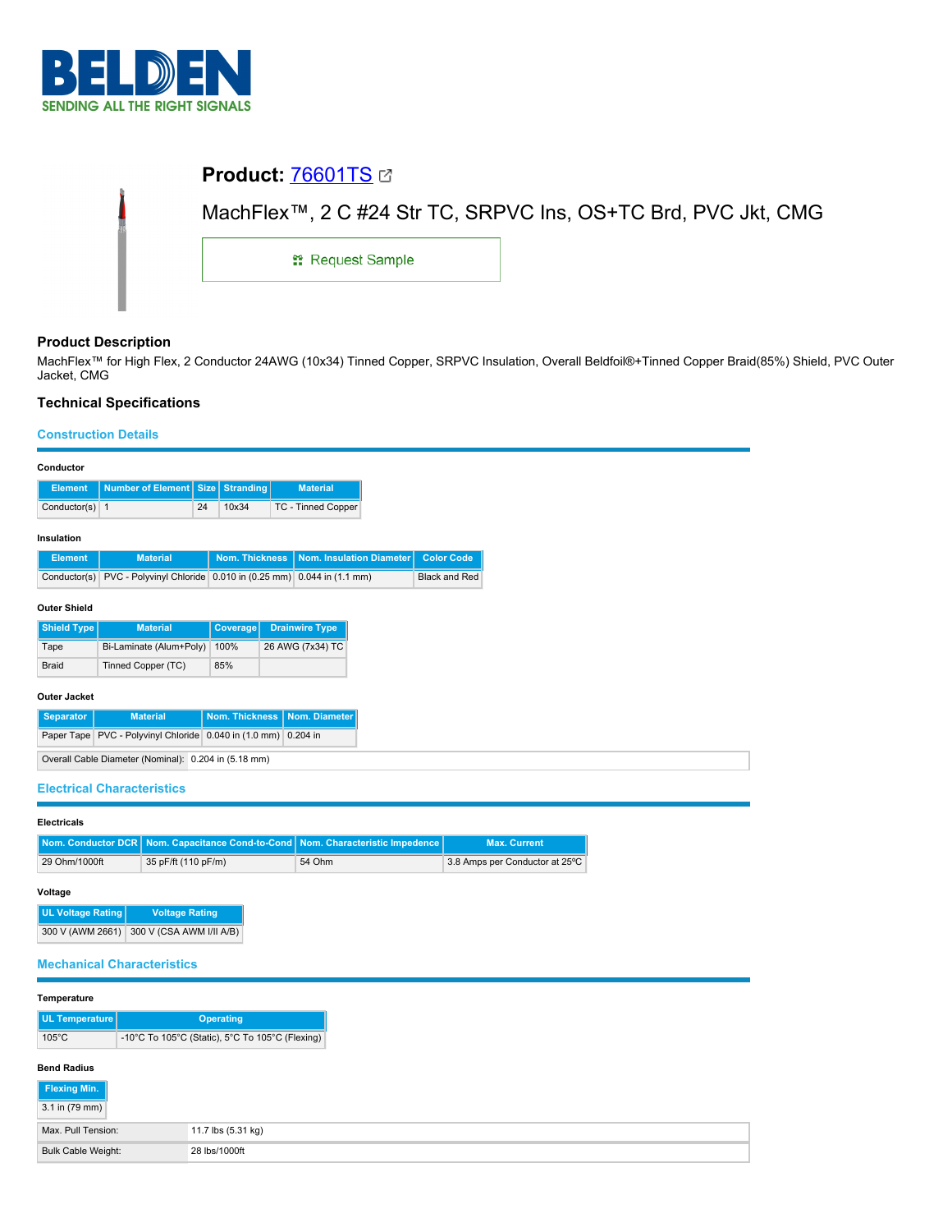

| <b>Product: 76601TS 27</b> |                                                               |
|----------------------------|---------------------------------------------------------------|
|                            | MachFlex™, 2 C #24 Str TC, SRPVC Ins, OS+TC Brd, PVC Jkt, CMG |
| <b>: Request Sample</b>    |                                                               |

# **Product Description**

MachFlex™ for High Flex, 2 Conductor 24AWG (10x34) Tinned Copper, SRPVC Insulation, Overall Beldfoil®+Tinned Copper Braid(85%) Shield, PVC Outer Jacket, CMG

# **Technical Specifications**

# **Construction Details**

| Conductor                                                                 |                                                               |    |                |  |                          |  |                      |
|---------------------------------------------------------------------------|---------------------------------------------------------------|----|----------------|--|--------------------------|--|----------------------|
| <b>Element</b>                                                            | Number of Element                                             |    | Size Stranding |  | <b>Material</b>          |  |                      |
| Conductor(s) $1$                                                          |                                                               | 24 | 10x34          |  | TC - Tinned Copper       |  |                      |
| Insulation                                                                |                                                               |    |                |  |                          |  |                      |
| <b>Element</b>                                                            | <b>Material</b>                                               |    | Nom. Thickness |  | Nom. Insulation Diameter |  | <b>Color Code</b>    |
| Conductor(s)                                                              | PVC - Polyvinyl Chloride 0.010 in (0.25 mm) 0.044 in (1.1 mm) |    |                |  |                          |  | <b>Black and Red</b> |
| <b>Outer Shield</b>                                                       |                                                               |    |                |  |                          |  |                      |
| Shield Type                                                               | <b>Material</b>                                               |    | Coverage       |  | <b>Drainwire Type</b>    |  |                      |
| Tape                                                                      | Bi-Laminate (Alum+Poly)                                       |    | 100%           |  | 26 AWG (7x34) TC         |  |                      |
| <b>Braid</b>                                                              | Tinned Copper (TC)                                            |    | 85%            |  |                          |  |                      |
| <b>Outer Jacket</b>                                                       |                                                               |    |                |  |                          |  |                      |
| <b>Separator</b>                                                          | Nom. Thickness<br>Nom. Diameter<br><b>Material</b>            |    |                |  |                          |  |                      |
| Paper Tape   PVC - Polyvinyl Chloride   0.040 in (1.0 mm)  <br>$0.204$ in |                                                               |    |                |  |                          |  |                      |
|                                                                           | Overall Cable Diameter (Nominal): 0.204 in (5.18 mm)          |    |                |  |                          |  |                      |

## **Electrical Characteristics**

| <b>Electricals</b> |               |                                                                                    |        |                                |  |  |
|--------------------|---------------|------------------------------------------------------------------------------------|--------|--------------------------------|--|--|
|                    |               | Nom. Conductor DCR   Nom. Capacitance Cond-to-Cond   Nom. Characteristic Impedence |        | <b>Max. Current</b>            |  |  |
|                    | 29 Ohm/1000ft | 35 pF/ft (110 pF/m)                                                                | 54 Ohm | 3.8 Amps per Conductor at 25°C |  |  |

### **Voltage**

| <b>UL Voltage Rating</b> | <b>Voltage Rating</b>    |  |  |
|--------------------------|--------------------------|--|--|
| 300 V (AWM 2661)         | 300 V (CSA AWM I/II A/B) |  |  |

## **Mechanical Characteristics**

| Temperature                                                        |                    |  |  |
|--------------------------------------------------------------------|--------------------|--|--|
| UL Temperature                                                     | <b>Operating</b>   |  |  |
| -10°C To 105°C (Static), 5°C To 105°C (Flexing)<br>$105^{\circ}$ C |                    |  |  |
| <b>Bend Radius</b><br>Flexing Min.<br>3.1 in (79 mm)               |                    |  |  |
| Max. Pull Tension:                                                 | 11.7 lbs (5.31 kg) |  |  |
| <b>Bulk Cable Weight:</b>                                          | 28 lbs/1000ft      |  |  |